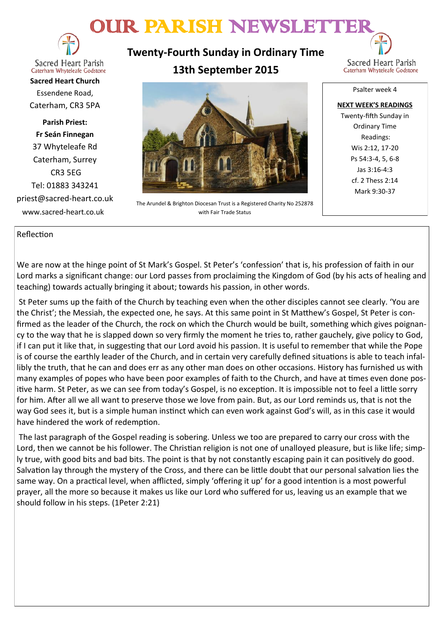# OUR PARISH NEWSLETTER



**Sacred Heart Parish** Caterham Whyteleafe Godstone

**Sacred Heart Church** Essendene Road, Caterham, CR3 5PA

**Parish Priest: Fr Seán Finnegan** 37 Whyteleafe Rd Caterham, Surrey CR3 5EG Tel: 01883 343241 priest@sacred-heart.co.uk www.sacred-heart.co.uk

**Twenty-Fourth Sunday in Ordinary Time 13th September 2015**



The Arundel & Brighton Diocesan Trust is a Registered Charity No 252878 with Fair Trade Status

Psalter week 4

**NEXT WEEK'S READINGS** Twenty-fifth Sunday in Ordinary Time Readings: Wis 2:12, 17-20 Ps 54:3-4, 5, 6-8 Jas 3:16-4:3 cf. 2 Thess 2:14 Mark 9:30-37

### Reflection

We are now at the hinge point of St Mark's Gospel. St Peter's 'confession' that is, his profession of faith in our Lord marks a significant change: our Lord passes from proclaiming the Kingdom of God (by his acts of healing and teaching) towards actually bringing it about; towards his passion, in other words.

St Peter sums up the faith of the Church by teaching even when the other disciples cannot see clearly. 'You are the Christ'; the Messiah, the expected one, he says. At this same point in St Matthew's Gospel, St Peter is confirmed as the leader of the Church, the rock on which the Church would be built, something which gives poignancy to the way that he is slapped down so very firmly the moment he tries to, rather gauchely, give policy to God, if I can put it like that, in suggesting that our Lord avoid his passion. It is useful to remember that while the Pope is of course the earthly leader of the Church, and in certain very carefully defined situations is able to teach infallibly the truth, that he can and does err as any other man does on other occasions. History has furnished us with many examples of popes who have been poor examples of faith to the Church, and have at times even done positive harm. St Peter, as we can see from today's Gospel, is no exception. It is impossible not to feel a little sorry for him. After all we all want to preserve those we love from pain. But, as our Lord reminds us, that is not the way God sees it, but is a simple human instinct which can even work against God's will, as in this case it would have hindered the work of redemption.

The last paragraph of the Gospel reading is sobering. Unless we too are prepared to carry our cross with the Lord, then we cannot be his follower. The Christian religion is not one of unalloyed pleasure, but is like life; simply true, with good bits and bad bits. The point is that by not constantly escaping pain it can positively do good. Salvation lay through the mystery of the Cross, and there can be little doubt that our personal salvation lies the same way. On a practical level, when afflicted, simply 'offering it up' for a good intention is a most powerful prayer, all the more so because it makes us like our Lord who suffered for us, leaving us an example that we should follow in his steps. (1Peter 2:21)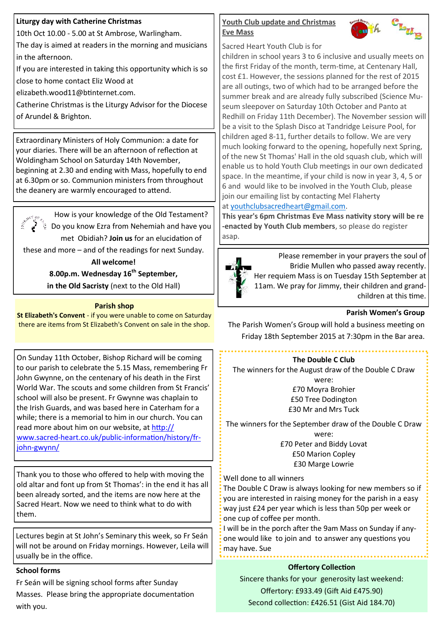# **Liturgy day with Catherine Christmas**

10th Oct 10.00 - 5.00 at St Ambrose, Warlingham.

The day is aimed at readers in the morning and musicians in the afternoon.

If you are interested in taking this opportunity which is so

close to home contact Eliz Wood at

elizabeth.wood11@btinternet.com.

Catherine Christmas is the Liturgy Advisor for the Diocese of Arundel & Brighton.

Extraordinary Ministers of Holy Communion: a date for your diaries. There will be an afternoon of reflection at Woldingham School on Saturday 14th November, beginning at 2.30 and ending with Mass, hopefully to end at 6.30pm or so. Communion ministers from throughout the deanery are warmly encouraged to attend.

How is your knowledge of the Old Testament?  $\frac{1}{3}$  Do you know Ezra from Nehemiah and have you met Obidiah? **Join us** for an elucidation of these and more – and of the readings for next Sunday.

> **All welcome! 8.00p.m. Wednesday 16th September, in the Old Sacristy** (next to the Old Hall)

# **Parish shop**

**St Elizabeth's Convent** - if you were unable to come on Saturday there are items from St Elizabeth's Convent on sale in the shop.

On Sunday 11th October, Bishop Richard will be coming to our parish to celebrate the 5.15 Mass, remembering Fr John Gwynne, on the centenary of his death in the First World War. The scouts and some children from St Francis' school will also be present. Fr Gwynne was chaplain to the Irish Guards, and was based here in Caterham for a while; there is a memorial to him in our church. You can read more about him on our website, at [http://](http://www.sacred-heart.co.uk/public-information/history/fr-john-gwynn/) www.sacred-heart.co.uk/public-[information/history/fr](http://www.sacred-heart.co.uk/public-information/history/fr-john-gwynn/)john-[gwynn/](http://www.sacred-heart.co.uk/public-information/history/fr-john-gwynn/)

Thank you to those who offered to help with moving the old altar and font up from St Thomas': in the end it has all been already sorted, and the items are now here at the Sacred Heart. Now we need to think what to do with them.

Lectures begin at St John's Seminary this week, so Fr Seán will not be around on Friday mornings. However, Leila will usually be in the office.

# **School forms**

Fr Seán will be signing school forms after Sunday Masses. Please bring the appropriate documentation with you.

# **Youth Club update and Christmas Eve Mass**



Sacred Heart Youth Club is for

children in school years 3 to 6 inclusive and usually meets on the first Friday of the month, term-time, at Centenary Hall, cost £1. However, the sessions planned for the rest of 2015 are all outings, two of which had to be arranged before the summer break and are already fully subscribed (Science Museum sleepover on Saturday 10th October and Panto at Redhill on Friday 11th December). The November session will be a visit to the Splash Disco at Tandridge Leisure Pool, for children aged 8-11, further details to follow. We are very much looking forward to the opening, hopefully next Spring, of the new St Thomas' Hall in the old squash club, which will enable us to hold Youth Club meetings in our own dedicated space. In the meantime, if your child is now in year 3, 4, 5 or 6 and would like to be involved in the Youth Club, please join our emailing list by contacting Mel Flaherty

# at [youthclubsacredheart@gmail.com.](mailto:youthclubsacredheart@gmail.com)

**This year's 6pm Christmas Eve Mass nativity story will be re -enacted by Youth Club members**, so please do register asap.



Please remember in your prayers the soul of Bridie Mullen who passed away recently. Her requiem Mass is on Tuesday 15th September at 11am. We pray for Jimmy, their children and grandchildren at this time.

# **Parish Women's Group**

The Parish Women's Group will hold a business meeting on Friday 18th September 2015 at 7:30pm in the Bar area.

# **The Double C Club**

The winners for the August draw of the Double C Draw were: £70 Moyra Brohier £50 Tree Dodington

£30 Mr and Mrs Tuck

The winners for the September draw of the Double C Draw were: £70 Peter and Biddy Lovat

£50 Marion Copley £30 Marge Lowrie

Well done to all winners

The Double C Draw is always looking for new members so if you are interested in raising money for the parish in a easy way just £24 per year which is less than 50p per week or one cup of coffee per month.

I will be in the porch after the 9am Mass on Sunday if anyone would like to join and to answer any questions you may have. Sue

# **Offertory Collection**

Sincere thanks for your generosity last weekend: Offertory: £933.49 (Gift Aid £475.90) Second collection: £426.51 (Gist Aid 184.70)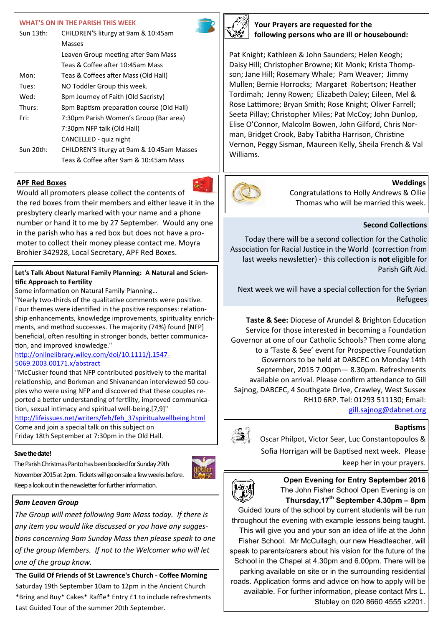#### **WHAT'S ON IN THE PARISH THIS WEEK**

| Sun 13th: | CHILDREN'S liturgy at 9am & 10:45am        |
|-----------|--------------------------------------------|
|           | Masses                                     |
|           | Leaven Group meeting after 9am Mass        |
|           | Teas & Coffee after 10:45am Mass           |
| Mon:      | Teas & Coffees after Mass (Old Hall)       |
| Tues:     | NO Toddler Group this week.                |
| Wed:      | 8pm Journey of Faith (Old Sacristy)        |
| Thurs:    | 8pm Baptism preparation course (Old Hall)  |
| Fri:      | 7:30pm Parish Women's Group (Bar area)     |
|           | 7:30pm NFP talk (Old Hall)                 |
|           | CANCELLED - quiz night                     |
| Sun 20th: | CHILDREN'S liturgy at 9am & 10:45am Masses |
|           | Teas & Coffee after 9am & 10:45am Mass     |

# **APF Red Boxes**

Would all promoters please collect the contents of the red boxes from their members and either leave it in the presbytery clearly marked with your name and a phone number or hand it to me by 27 September. Would any one in the parish who has a red box but does not have a promoter to collect their money please contact me. Moyra Brohier 342928, Local Secretary, APF Red Boxes.

#### **Let's Talk About Natural Family Planning: A Natural and Scientific Approach to Fertility**

Some information on Natural Family Planning…

"Nearly two-thirds of the qualitative comments were positive. Four themes were identified in the positive responses: relationship enhancements, knowledge improvements, spirituality enrichments, and method successes. The majority (74%) found [NFP] beneficial, often resulting in stronger bonds, better communication, and improved knowledge."

#### [http://onlinelibrary.wiley.com/doi/10.1111/j.1547](http://onlinelibrary.wiley.com/doi/10.1111/j.1547-5069.2003.00171.x/abstract)- [5069.2003.00171.x/abstract](http://onlinelibrary.wiley.com/doi/10.1111/j.1547-5069.2003.00171.x/abstract)

"McCusker found that NFP contributed positively to the marital relationship, and Borkman and Shivanandan interviewed 50 couples who were using NFP and discovered that these couples reported a better understanding of fertility, improved communication, sexual intimacy and spiritual well-being.[7,9]" [http://lifeissues.net/writers/feh/feh\\_37spiritualwellbeing.html](http://lifeissues.net/writers/feh/feh_37spiritualwellbeing.html)

Come and join a special talk on this subject on Friday 18th September at 7:30pm in the Old Hall.

#### **Save the date!**

The Parish Christmas Panto has been booked for Sunday 29th November 2015 at 2pm. Tickets will go on sale a few weeks before. Keep a look out in the newsletter for further information.



#### *9am Leaven Group*

*The Group will meet following 9am Mass today. If there is any item you would like discussed or you have any suggestions concerning 9am Sunday Mass then please speak to one of the group Members. If not to the Welcomer who will let one of the group know.*

**The Guild Of Friends of St Lawrence's Church - Coffee Morning**  Saturday 19th September 10am to 12pm in the Ancient Church \*Bring and Buy\* Cakes\* Raffle\* Entry £1 to include refreshments Last Guided Tour of the summer 20th September.



**Your Prayers are requested for the following persons who are ill or housebound:**

Pat Knight; Kathleen & John Saunders; Helen Keogh; Daisy Hill; Christopher Browne; Kit Monk; Krista Thompson; Jane Hill; Rosemary Whale; Pam Weaver; Jimmy Mullen; Bernie Horrocks; Margaret Robertson; Heather Tordimah; Jenny Rowen; Elizabeth Daley; Eileen, Mel & Rose Lattimore; Bryan Smith; Rose Knight; Oliver Farrell; Seeta Pillay; Christopher Miles; Pat McCoy; John Dunlop, Elise O'Connor, Malcolm Bowen, John Gilford, Chris Norman, Bridget Crook, Baby Tabitha Harrison, Christine Vernon, Peggy Sisman, Maureen Kelly, Sheila French & Val Williams.



# **Weddings**

Congratulations to Holly Andrews & Ollie Thomas who will be married this week.

# **Second Collections**

Today there will be a second collection for the Catholic Association for Racial Justice in the World (correction from last weeks newsletter) - this collection is **not** eligible for Parish Gift Aid.

Next week we will have a special collection for the Syrian Refugees

**Taste & See:** Diocese of Arundel & Brighton Education Service for those interested in becoming a Foundation Governor at one of our Catholic Schools? Then come along to a 'Taste & See' event for Prospective Foundation Governors to be held at DABCEC on Monday 14th September, 2015 7.00pm— 8.30pm. Refreshments available on arrival. Please confirm attendance to Gill Sajnog, DABCEC, 4 Southgate Drive, Crawley, West Sussex RH10 6RP. Tel: 01293 511130; Email: [gill.sajnog@dabnet.org](mailto:gill.sajnog@dabnet.org)

#### **Baptisms**

Oscar Philpot, Victor Sear, Luc Constantopoulos & Sofia Horrigan will be Baptised next week. Please keep her in your prayers.



#### **Open Evening for Entry September 2016** The John Fisher School Open Evening is on **Thursday,17th September 4.30pm – 8pm**

Guided tours of the school by current students will be run throughout the evening with example lessons being taught. This will give you and your son an idea of life at the John Fisher School. Mr McCullagh, our new Headteacher, will speak to parents/carers about his vision for the future of the School in the Chapel at 4.30pm and 6.00pm. There will be parking available on site or in the surrounding residential roads. Application forms and advice on how to apply will be available. For further information, please contact Mrs L. Stubley on 020 8660 4555 x2201.